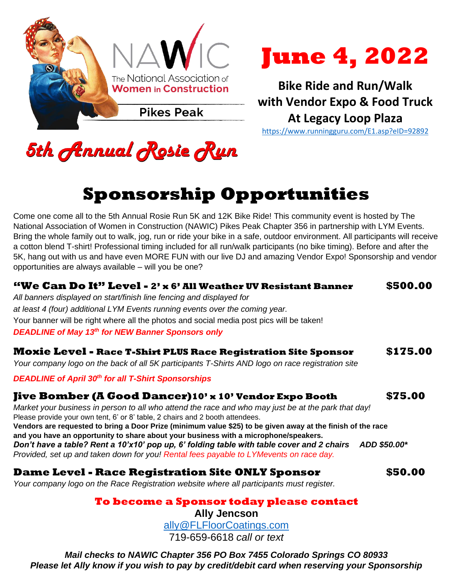



**Bike Ride and Run/Walk with Vendor Expo & Food Truck At Legacy Loop Plaza** <https://www.runningguru.com/E1.asp?eID=92892>

5th Annual Rosie Run

## **Sponsorship Opportunities**

Come one come all to the 5th Annual Rosie Run 5K and 12K Bike Ride! This community event is hosted by The National Association of Women in Construction (NAWIC) Pikes Peak Chapter 356 in partnership with LYM Events. Bring the whole family out to walk, jog, run or ride your bike in a safe, outdoor environment. All participants will receive a cotton blend T-shirt! Professional timing included for all run/walk participants (no bike timing). Before and after the 5K, hang out with us and have even MORE FUN with our live DJ and amazing Vendor Expo! Sponsorship and vendor opportunities are always available – will you be one?

| "We Can Do It" Level - 2' x 6' All Weather UV Resistant Banner<br>All banners displayed on start/finish line fencing and displayed for<br>at least 4 (four) additional LYM Events running events over the coming year.<br>Your banner will be right where all the photos and social media post pics will be taken!<br><b>DEADLINE of May 13th for NEW Banner Sponsors only</b>                                                                                                                                                                                                                                                                                   | \$500.00 |
|------------------------------------------------------------------------------------------------------------------------------------------------------------------------------------------------------------------------------------------------------------------------------------------------------------------------------------------------------------------------------------------------------------------------------------------------------------------------------------------------------------------------------------------------------------------------------------------------------------------------------------------------------------------|----------|
| <b>Moxie Level - Race T-Shirt PLUS Race Registration Site Sponsor</b><br>Your company logo on the back of all 5K participants T-Shirts AND logo on race registration site                                                                                                                                                                                                                                                                                                                                                                                                                                                                                        | \$175.00 |
| <b>DEADLINE of April 30th for all T-Shirt Sponsorships</b>                                                                                                                                                                                                                                                                                                                                                                                                                                                                                                                                                                                                       |          |
| <b>Jive Bomber (A Good Dancer)10' x 10' Vendor Expo Booth</b><br>Market your business in person to all who attend the race and who may just be at the park that day!<br>Please provide your own tent, 6' or 8' table, 2 chairs and 2 booth attendees.<br>Vendors are requested to bring a Door Prize (minimum value \$25) to be given away at the finish of the race<br>and you have an opportunity to share about your business with a microphone/speakers.<br>Don't have a table? Rent a 10'x10' pop up, 6' folding table with table cover and 2 chairs ADD \$50.00*<br>Provided, set up and taken down for you! Rental fees payable to LYMevents on race day. | \$75.00  |
| <b>Dame Level - Race Registration Site ONLY Sponsor</b><br>Your company logo on the Race Registration website where all participants must register.                                                                                                                                                                                                                                                                                                                                                                                                                                                                                                              | \$50.00  |
| To become a Sponsor today please contact<br><b>Ally Jencson</b><br>ally@FLFloorCoatings.com                                                                                                                                                                                                                                                                                                                                                                                                                                                                                                                                                                      |          |
| 719-659-6618 call or text                                                                                                                                                                                                                                                                                                                                                                                                                                                                                                                                                                                                                                        |          |

*Mail checks to NAWIC Chapter 356 PO Box 7455 Colorado Springs CO 80933 Please let Ally know if you wish to pay by credit/debit card when reserving your Sponsorship*